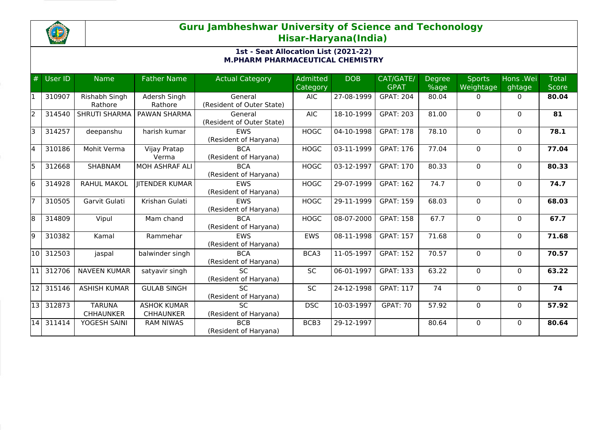

## **Guru Jambheshwar University of Science and Techonology Hisar-Haryana(India)**

## **1st - Seat Allocation List (2021-22) M.PHARM PHARMACEUTICAL CHEMISTRY**

| #  | User ID | <b>Name</b>                       | <b>Father Name</b>                     | <b>Actual Category</b>               | <b>Admitted</b><br><b>Category</b> | <b>DOB</b>       | CAT/GATE/<br><b>GPAT</b> | <b>Degree</b><br>$%$ age | <b>Sports</b><br>Weightage | Hons .Wei<br>ghtage | <b>Total</b><br><b>Score</b> |
|----|---------|-----------------------------------|----------------------------------------|--------------------------------------|------------------------------------|------------------|--------------------------|--------------------------|----------------------------|---------------------|------------------------------|
| l1 | 310907  | Rishabh Singh<br>Rathore          | Adersh Singh<br>Rathore                | General<br>(Resident of Outer State) | <b>AIC</b>                         | 27-08-1999       | <b>GPAT: 204</b>         | 80.04                    | 0                          | $\mathbf{0}$        | 80.04                        |
| 2  | 314540  | <b>SHRUTI SHARMA</b>              | PAWAN SHARMA                           | General<br>(Resident of Outer State) | <b>AIC</b>                         | 18-10-1999       | <b>GPAT: 203</b>         | 81.00                    | $\Omega$                   | $\Omega$            | 81                           |
| lз | 314257  | deepanshu                         | harish kumar                           | <b>EWS</b><br>(Resident of Haryana)  | <b>HOGC</b>                        | 04-10-1998       | <b>GPAT: 178</b>         | 78.10                    | $\Omega$                   | $\mathbf{0}$        | 78.1                         |
| 4  | 310186  | Mohit Verma                       | Vijay Pratap<br>Verma                  | <b>BCA</b><br>(Resident of Haryana)  | <b>HOGC</b>                        | 03-11-1999       | <b>GPAT: 176</b>         | 77.04                    | $\Omega$                   | $\mathbf{0}$        | 77.04                        |
| l5 | 312668  | SHABNAM                           | MOH ASHRAF ALI                         | <b>BCA</b><br>(Resident of Haryana)  | <b>HOGC</b>                        | 03-12-1997       | <b>GPAT: 170</b>         | 80.33                    | $\Omega$                   | $\mathbf{0}$        | 80.33                        |
| 6  | 314928  | <b>RAHUL MAKOL</b>                | <b>IITENDER KUMAR</b>                  | <b>EWS</b><br>(Resident of Haryana)  | <b>HOGC</b>                        | 29-07-1999       | <b>GPAT: 162</b>         | 74.7                     | $\Omega$                   | $\mathbf{0}$        | 74.7                         |
| 17 | 310505  | Garvit Gulati                     | Krishan Gulati                         | <b>EWS</b><br>(Resident of Haryana)  | <b>HOGC</b>                        | 29-11-1999       | <b>GPAT: 159</b>         | 68.03                    | 0                          | $\mathbf{0}$        | 68.03                        |
| 8  | 314809  | Vipul                             | Mam chand                              | <b>BCA</b><br>(Resident of Haryana)  | <b>HOGC</b>                        | 08-07-2000       | <b>GPAT: 158</b>         | 67.7                     | 0                          | $\mathbf{0}$        | 67.7                         |
| 9  | 310382  | Kamal                             | Rammehar                               | <b>EWS</b><br>(Resident of Haryana)  | <b>EWS</b>                         | 08-11-1998       | <b>GPAT: 157</b>         | 71.68                    | 0                          | $\mathbf{0}$        | 71.68                        |
| 10 | 312503  | jaspal                            | balwinder singh                        | <b>BCA</b><br>(Resident of Haryana)  | BCA3                               | 11-05-1997       | <b>GPAT: 152</b>         | 70.57                    | $\Omega$                   | $\Omega$            | 70.57                        |
| 11 | 312706  | <b>NAVEEN KUMAR</b>               | satyavir singh                         | <b>SC</b><br>(Resident of Haryana)   | <b>SC</b>                          | $06 - 01 - 1997$ | <b>GPAT: 133</b>         | 63.22                    | $\Omega$                   | $\mathbf{0}$        | 63.22                        |
| 12 | 315146  | <b>ASHISH KUMAR</b>               | <b>GULAB SINGH</b>                     | <b>SC</b><br>(Resident of Haryana)   | <b>SC</b>                          | 24-12-1998       | <b>GPAT: 117</b>         | 74                       | $\Omega$                   | $\mathbf{0}$        | 74                           |
| 13 | 312873  | <b>TARUNA</b><br><b>CHHAUNKER</b> | <b>ASHOK KUMAR</b><br><b>CHHAUNKER</b> | <b>SC</b><br>(Resident of Haryana)   | <b>DSC</b>                         | 10-03-1997       | <b>GPAT: 70</b>          | 57.92                    | $\Omega$                   | $\mathbf{0}$        | 57.92                        |
| 14 | 311414  | YOGESH SAINI                      | <b>RAM NIWAS</b>                       | <b>BCB</b><br>(Resident of Haryana)  | BCB3                               | 29-12-1997       |                          | 80.64                    | $\Omega$                   | $\Omega$            | 80.64                        |